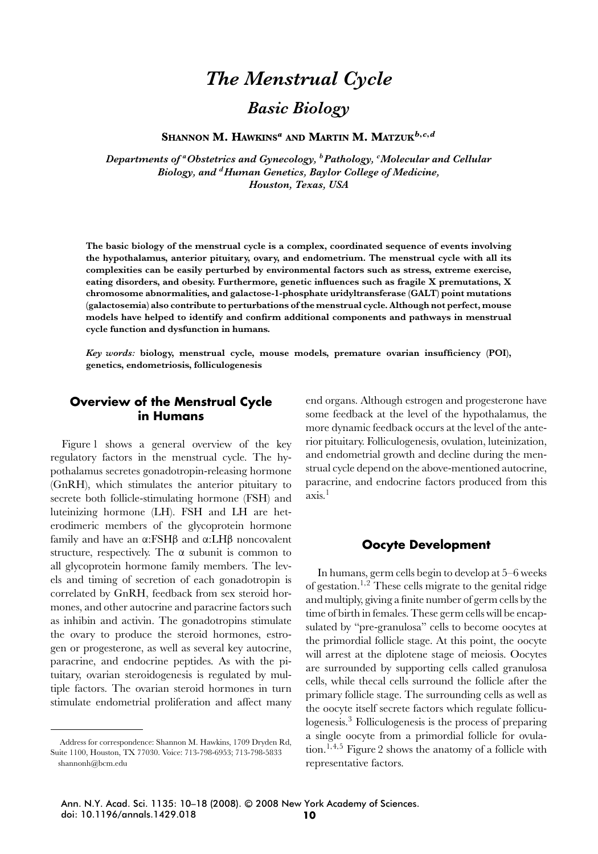# *The Menstrual Cycle Basic Biology*

**SHANNON M. HAWKINS***<sup>a</sup>* **AND MARTIN M. MATZUK***b***,***c***,***<sup>d</sup>*

*Departments of aObstetrics and Gynecology, bPathology, <sup>c</sup> Molecular and Cellular Biology, and dHuman Genetics, Baylor College of Medicine, Houston, Texas, USA*

**The basic biology of the menstrual cycle is a complex, coordinated sequence of events involving the hypothalamus, anterior pituitary, ovary, and endometrium. The menstrual cycle with all its complexities can be easily perturbed by environmental factors such as stress, extreme exercise, eating disorders, and obesity. Furthermore, genetic influences such as fragile X premutations, X chromosome abnormalities, and galactose-1-phosphate uridyltransferase (GALT) point mutations (galactosemia) also contribute to perturbations of the menstrual cycle. Although not perfect, mouse models have helped to identify and confirm additional components and pathways in menstrual cycle function and dysfunction in humans.**

*Key words:* **biology, menstrual cycle, mouse models, premature ovarian insufficiency (POI), genetics, endometriosis, folliculogenesis**

## **Overview of the Menstrual Cycle in Humans**

Figure 1 shows a general overview of the key regulatory factors in the menstrual cycle. The hypothalamus secretes gonadotropin-releasing hormone (GnRH), which stimulates the anterior pituitary to secrete both follicle-stimulating hormone (FSH) and luteinizing hormone (LH). FSH and LH are heterodimeric members of the glycoprotein hormone family and have an α:FSHβ and α:LHβ noncovalent structure, respectively. The  $\alpha$  subunit is common to all glycoprotein hormone family members. The levels and timing of secretion of each gonadotropin is correlated by GnRH, feedback from sex steroid hormones, and other autocrine and paracrine factors such as inhibin and activin. The gonadotropins stimulate the ovary to produce the steroid hormones, estrogen or progesterone, as well as several key autocrine, paracrine, and endocrine peptides. As with the pituitary, ovarian steroidogenesis is regulated by multiple factors. The ovarian steroid hormones in turn stimulate endometrial proliferation and affect many

Address for correspondence: Shannon M. Hawkins, 1709 Dryden Rd, Suite 1100, Houston, TX 77030. Voice: 713-798-6953; 713-798-5833 shannonh@bcm.edu

end organs. Although estrogen and progesterone have some feedback at the level of the hypothalamus, the more dynamic feedback occurs at the level of the anterior pituitary. Folliculogenesis, ovulation, luteinization, and endometrial growth and decline during the menstrual cycle depend on the above-mentioned autocrine, paracrine, and endocrine factors produced from this axis.1

## **Oocyte Development**

In humans, germ cells begin to develop at 5–6 weeks of gestation.<sup>1</sup>*,*<sup>2</sup> These cells migrate to the genital ridge and multiply, giving a finite number of germ cells by the time of birth in females. These germ cells will be encapsulated by "pre-granulosa" cells to become oocytes at the primordial follicle stage. At this point, the oocyte will arrest at the diplotene stage of meiosis. Oocytes are surrounded by supporting cells called granulosa cells, while thecal cells surround the follicle after the primary follicle stage. The surrounding cells as well as the oocyte itself secrete factors which regulate folliculogenesis.<sup>3</sup> Folliculogenesis is the process of preparing a single oocyte from a primordial follicle for ovulation.<sup>1</sup>*,*4*,*<sup>5</sup> Figure 2 shows the anatomy of a follicle with representative factors.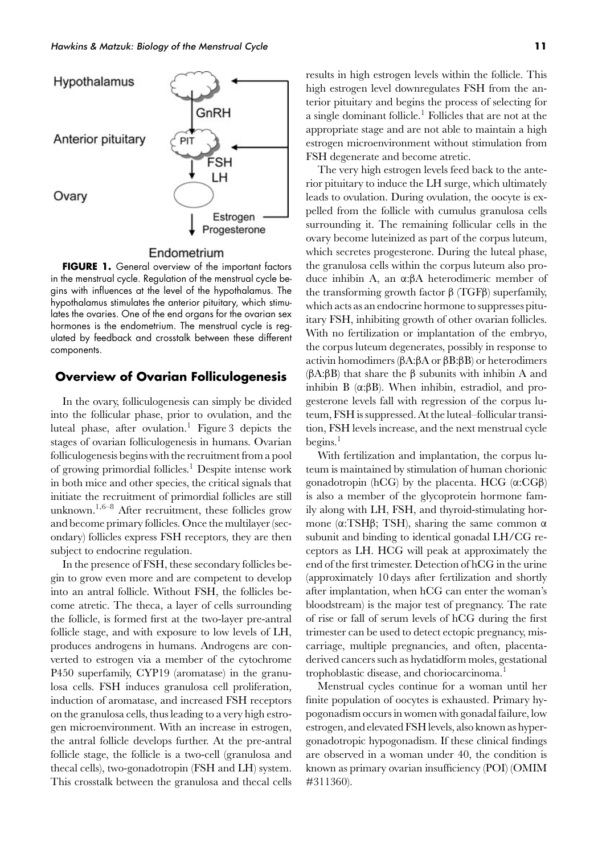

#### Endometrium

**FIGURE 1.** General overview of the important factors in the menstrual cycle. Regulation of the menstrual cycle begins with influences at the level of the hypothalamus. The hypothalamus stimulates the anterior pituitary, which stimulates the ovaries. One of the end organs for the ovarian sex hormones is the endometrium. The menstrual cycle is regulated by feedback and crosstalk between these different components.

## **Overview of Ovarian Folliculogenesis**

In the ovary, folliculogenesis can simply be divided into the follicular phase, prior to ovulation, and the luteal phase, after ovulation.<sup>1</sup> Figure 3 depicts the stages of ovarian folliculogenesis in humans. Ovarian folliculogenesis begins with the recruitment from a pool of growing primordial follicles.1 Despite intense work in both mice and other species, the critical signals that initiate the recruitment of primordial follicles are still unknown.<sup>1</sup>*,*6–8 After recruitment, these follicles grow and become primary follicles. Once the multilayer (secondary) follicles express FSH receptors, they are then subject to endocrine regulation.

In the presence of FSH, these secondary follicles begin to grow even more and are competent to develop into an antral follicle. Without FSH, the follicles become atretic. The theca, a layer of cells surrounding the follicle, is formed first at the two-layer pre-antral follicle stage, and with exposure to low levels of LH, produces androgens in humans. Androgens are converted to estrogen via a member of the cytochrome P450 superfamily, CYP19 (aromatase) in the granulosa cells. FSH induces granulosa cell proliferation, induction of aromatase, and increased FSH receptors on the granulosa cells, thus leading to a very high estrogen microenvironment. With an increase in estrogen, the antral follicle develops further. At the pre-antral follicle stage, the follicle is a two-cell (granulosa and thecal cells), two-gonadotropin (FSH and LH) system. This crosstalk between the granulosa and thecal cells results in high estrogen levels within the follicle. This high estrogen level downregulates FSH from the anterior pituitary and begins the process of selecting for a single dominant follicle.<sup>1</sup> Follicles that are not at the appropriate stage and are not able to maintain a high estrogen microenvironment without stimulation from FSH degenerate and become atretic.

The very high estrogen levels feed back to the anterior pituitary to induce the LH surge, which ultimately leads to ovulation. During ovulation, the oocyte is expelled from the follicle with cumulus granulosa cells surrounding it. The remaining follicular cells in the ovary become luteinized as part of the corpus luteum, which secretes progesterone. During the luteal phase, the granulosa cells within the corpus luteum also produce inhibin A, an α:βA heterodimeric member of the transforming growth factor  $β$  (TGFβ) superfamily, which acts as an endocrine hormone to suppresses pituitary FSH, inhibiting growth of other ovarian follicles. With no fertilization or implantation of the embryo, the corpus luteum degenerates, possibly in response to activin homodimers (βA:βA or βB:βB) or heterodimers (βA:βB) that share the β subunits with inhibin A and inhibin B  $(α:\beta B)$ . When inhibin, estradiol, and progesterone levels fall with regression of the corpus luteum, FSH is suppressed. At the luteal–follicular transition, FSH levels increase, and the next menstrual cycle begins. $<sup>1</sup>$ </sup>

With fertilization and implantation, the corpus luteum is maintained by stimulation of human chorionic gonadotropin (hCG) by the placenta. HCG  $(α:CGβ)$ is also a member of the glycoprotein hormone family along with LH, FSH, and thyroid-stimulating hormone ( $α$ :TSHβ; TSH), sharing the same common  $α$ subunit and binding to identical gonadal LH/CG receptors as LH. HCG will peak at approximately the end of the first trimester. Detection of hCG in the urine (approximately 10 days after fertilization and shortly after implantation, when hCG can enter the woman's bloodstream) is the major test of pregnancy. The rate of rise or fall of serum levels of hCG during the first trimester can be used to detect ectopic pregnancy, miscarriage, multiple pregnancies, and often, placentaderived cancers such as hydatidform moles, gestational trophoblastic disease, and choriocarcinoma.<sup>1</sup>

Menstrual cycles continue for a woman until her finite population of oocytes is exhausted. Primary hypogonadism occurs in women with gonadal failure, low estrogen, and elevated FSH levels, also known as hypergonadotropic hypogonadism. If these clinical findings are observed in a woman under 40, the condition is known as primary ovarian insufficiency (POI) (OMIM #311360).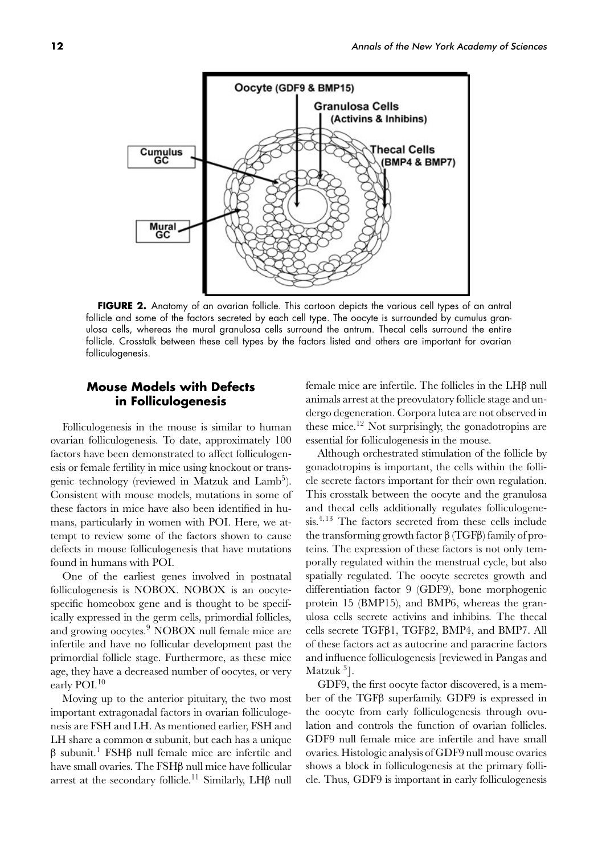

FIGURE 2. Anatomy of an ovarian follicle. This cartoon depicts the various cell types of an antral follicle and some of the factors secreted by each cell type. The oocyte is surrounded by cumulus granulosa cells, whereas the mural granulosa cells surround the antrum. Thecal cells surround the entire follicle. Crosstalk between these cell types by the factors listed and others are important for ovarian folliculogenesis.

# **Mouse Models with Defects in Folliculogenesis**

Folliculogenesis in the mouse is similar to human ovarian folliculogenesis. To date, approximately 100 factors have been demonstrated to affect folliculogenesis or female fertility in mice using knockout or transgenic technology (reviewed in Matzuk and Lamb<sup>5</sup>). Consistent with mouse models, mutations in some of these factors in mice have also been identified in humans, particularly in women with POI. Here, we attempt to review some of the factors shown to cause defects in mouse folliculogenesis that have mutations found in humans with POI.

One of the earliest genes involved in postnatal folliculogenesis is NOBOX. NOBOX is an oocytespecific homeobox gene and is thought to be specifically expressed in the germ cells, primordial follicles, and growing oocytes.<sup>9</sup> NOBOX null female mice are infertile and have no follicular development past the primordial follicle stage. Furthermore, as these mice age, they have a decreased number of oocytes, or very early POI.<sup>10</sup>

Moving up to the anterior pituitary, the two most important extragonadal factors in ovarian folliculogenesis are FSH and LH. As mentioned earlier, FSH and LH share a common  $\alpha$  subunit, but each has a unique  $β$  subunit.<sup>1</sup> FSH $β$  null female mice are infertile and have small ovaries. The FSHβ null mice have follicular arrest at the secondary follicle.<sup>11</sup> Similarly, LH $\beta$  null female mice are infertile. The follicles in the LHβ null animals arrest at the preovulatory follicle stage and undergo degeneration. Corpora lutea are not observed in these mice.<sup>12</sup> Not surprisingly, the gonadotropins are essential for folliculogenesis in the mouse.

Although orchestrated stimulation of the follicle by gonadotropins is important, the cells within the follicle secrete factors important for their own regulation. This crosstalk between the oocyte and the granulosa and thecal cells additionally regulates folliculogenesis.<sup>4</sup>*,*<sup>13</sup> The factors secreted from these cells include the transforming growth factor β (TGFβ) family of proteins. The expression of these factors is not only temporally regulated within the menstrual cycle, but also spatially regulated. The oocyte secretes growth and differentiation factor 9 (GDF9), bone morphogenic protein 15 (BMP15), and BMP6, whereas the granulosa cells secrete activins and inhibins. The thecal cells secrete TGFβ1, TGFβ2, BMP4, and BMP7. All of these factors act as autocrine and paracrine factors and influence folliculogenesis [reviewed in Pangas and Matzuk <sup>3</sup>].

GDF9, the first oocyte factor discovered, is a member of the TGFβ superfamily. GDF9 is expressed in the oocyte from early folliculogenesis through ovulation and controls the function of ovarian follicles. GDF9 null female mice are infertile and have small ovaries. Histologic analysis of GDF9 null mouse ovaries shows a block in folliculogenesis at the primary follicle. Thus, GDF9 is important in early folliculogenesis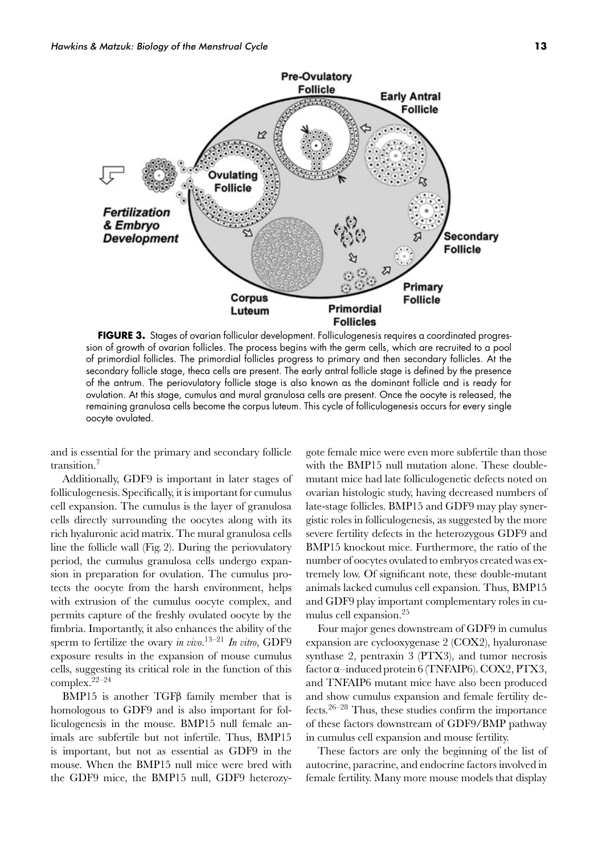

**FIGURE 3.** Stages of ovarian follicular development. Folliculogenesis requires a coordinated progression of growth of ovarian follicles. The process begins with the germ cells, which are recruited to a pool of primordial follicles. The primordial follicles progress to primary and then secondary follicles. At the secondary follicle stage, theca cells are present. The early antral follicle stage is defined by the presence of the antrum. The periovulatory follicle stage is also known as the dominant follicle and is ready for ovulation. At this stage, cumulus and mural granulosa cells are present. Once the oocyte is released, the remaining granulosa cells become the corpus luteum. This cycle of folliculogenesis occurs for every single oocyte ovulated.

and is essential for the primary and secondary follicle transition.<sup>7</sup>

Additionally, GDF9 is important in later stages of folliculogenesis. Specifically, it is important for cumulus cell expansion. The cumulus is the layer of granulosa cells directly surrounding the oocytes along with its rich hyaluronic acid matrix. The mural granulosa cells line the follicle wall (Fig. 2). During the periovulatory period, the cumulus granulosa cells undergo expansion in preparation for ovulation. The cumulus protects the oocyte from the harsh environment, helps with extrusion of the cumulus oocyte complex, and permits capture of the freshly ovulated oocyte by the fimbria. Importantly, it also enhances the ability of the sperm to fertilize the ovary *in vivo*. 13–21 *In vitro*, GDF9 exposure results in the expansion of mouse cumulus cells, suggesting its critical role in the function of this complex.22–24

BMP15 is another TGFβ family member that is homologous to GDF9 and is also important for folliculogenesis in the mouse. BMP15 null female animals are subfertile but not infertile. Thus, BMP15 is important, but not as essential as GDF9 in the mouse. When the BMP15 null mice were bred with the GDF9 mice, the BMP15 null, GDF9 heterozygote female mice were even more subfertile than those with the BMP15 null mutation alone. These doublemutant mice had late folliculogenetic defects noted on ovarian histologic study, having decreased numbers of late-stage follicles. BMP15 and GDF9 may play synergistic roles in folliculogenesis, as suggested by the more severe fertility defects in the heterozygous GDF9 and BMP15 knockout mice. Furthermore, the ratio of the number of oocytes ovulated to embryos created was extremely low. Of significant note, these double-mutant animals lacked cumulus cell expansion. Thus, BMP15 and GDF9 play important complementary roles in cumulus cell expansion.<sup>25</sup>

Four major genes downstream of GDF9 in cumulus expansion are cyclooxygenase 2 (COX2), hyaluronase synthase 2, pentraxin 3 (PTX3), and tumor necrosis factor α–induced protein 6 (TNFAIP6). COX2, PTX3, and TNFAIP6 mutant mice have also been produced and show cumulus expansion and female fertility defects.<sup>26–28</sup> Thus, these studies confirm the importance of these factors downstream of GDF9/BMP pathway in cumulus cell expansion and mouse fertility.

These factors are only the beginning of the list of autocrine, paracrine, and endocrine factors involved in female fertility. Many more mouse models that display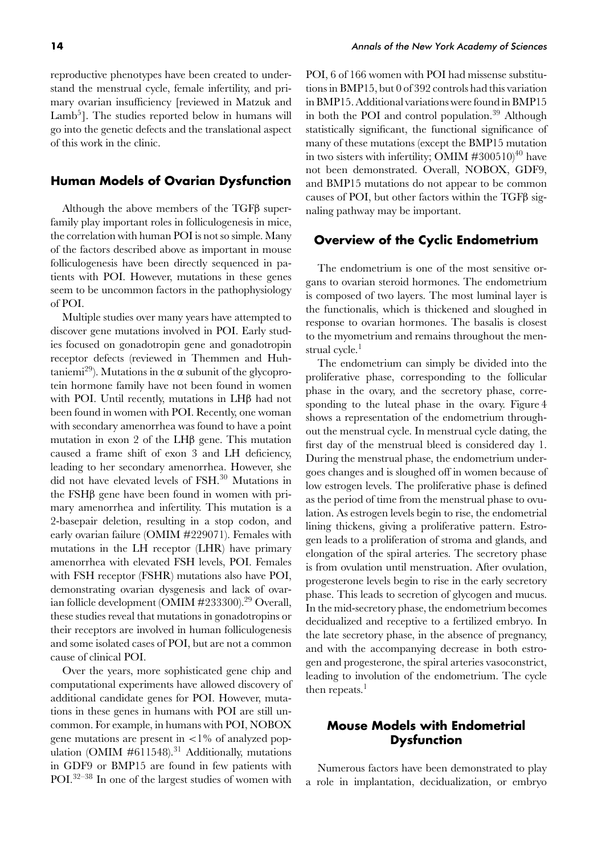stand the menstrual cycle, female infertility, and primary ovarian insufficiency [reviewed in Matzuk and Lamb<sup>5</sup>]. The studies reported below in humans will go into the genetic defects and the translational aspect of this work in the clinic.

# **Human Models of Ovarian Dysfunction**

Although the above members of the TGFβ superfamily play important roles in folliculogenesis in mice, the correlation with human POI is not so simple. Many of the factors described above as important in mouse folliculogenesis have been directly sequenced in patients with POI. However, mutations in these genes seem to be uncommon factors in the pathophysiology of POI.

Multiple studies over many years have attempted to discover gene mutations involved in POI. Early studies focused on gonadotropin gene and gonadotropin receptor defects (reviewed in Themmen and Huhtaniemi<sup>29</sup>). Mutations in the  $\alpha$  subunit of the glycoprotein hormone family have not been found in women with POI. Until recently, mutations in LHβ had not been found in women with POI. Recently, one woman with secondary amenorrhea was found to have a point mutation in exon 2 of the LHβ gene. This mutation caused a frame shift of exon 3 and LH deficiency, leading to her secondary amenorrhea. However, she did not have elevated levels of FSH.<sup>30</sup> Mutations in the FSHβ gene have been found in women with primary amenorrhea and infertility. This mutation is a 2-basepair deletion, resulting in a stop codon, and early ovarian failure (OMIM #229071). Females with mutations in the LH receptor (LHR) have primary amenorrhea with elevated FSH levels, POI. Females with FSH receptor (FSHR) mutations also have POI, demonstrating ovarian dysgenesis and lack of ovarian follicle development (OMIM #233300).<sup>29</sup> Overall, these studies reveal that mutations in gonadotropins or their receptors are involved in human folliculogenesis and some isolated cases of POI, but are not a common cause of clinical POI.

Over the years, more sophisticated gene chip and computational experiments have allowed discovery of additional candidate genes for POI. However, mutations in these genes in humans with POI are still uncommon. For example, in humans with POI, NOBOX gene mutations are present in *<*1% of analyzed population (OMIM #611548).<sup>31</sup> Additionally, mutations in GDF9 or BMP15 are found in few patients with POI.32–38 In one of the largest studies of women with POI, 6 of 166 women with POI had missense substitutions in BMP15, but 0 of 392 controls had this variation in BMP15. Additional variations were found in BMP15 in both the POI and control population.<sup>39</sup> Although statistically significant, the functional significance of many of these mutations (except the BMP15 mutation in two sisters with infertility; OMIM  $\#300510^{40}$  have not been demonstrated. Overall, NOBOX, GDF9, and BMP15 mutations do not appear to be common causes of POI, but other factors within the TGFβ signaling pathway may be important.

# **Overview of the Cyclic Endometrium**

The endometrium is one of the most sensitive organs to ovarian steroid hormones. The endometrium is composed of two layers. The most luminal layer is the functionalis, which is thickened and sloughed in response to ovarian hormones. The basalis is closest to the myometrium and remains throughout the menstrual cycle.<sup>1</sup>

The endometrium can simply be divided into the proliferative phase, corresponding to the follicular phase in the ovary, and the secretory phase, corresponding to the luteal phase in the ovary. Figure 4 shows a representation of the endometrium throughout the menstrual cycle. In menstrual cycle dating, the first day of the menstrual bleed is considered day 1. During the menstrual phase, the endometrium undergoes changes and is sloughed off in women because of low estrogen levels. The proliferative phase is defined as the period of time from the menstrual phase to ovulation. As estrogen levels begin to rise, the endometrial lining thickens, giving a proliferative pattern. Estrogen leads to a proliferation of stroma and glands, and elongation of the spiral arteries. The secretory phase is from ovulation until menstruation. After ovulation, progesterone levels begin to rise in the early secretory phase. This leads to secretion of glycogen and mucus. In the mid-secretory phase, the endometrium becomes decidualized and receptive to a fertilized embryo. In the late secretory phase, in the absence of pregnancy, and with the accompanying decrease in both estrogen and progesterone, the spiral arteries vasoconstrict, leading to involution of the endometrium. The cycle then repeats.<sup>1</sup>

# **Mouse Models with Endometrial Dysfunction**

Numerous factors have been demonstrated to play a role in implantation, decidualization, or embryo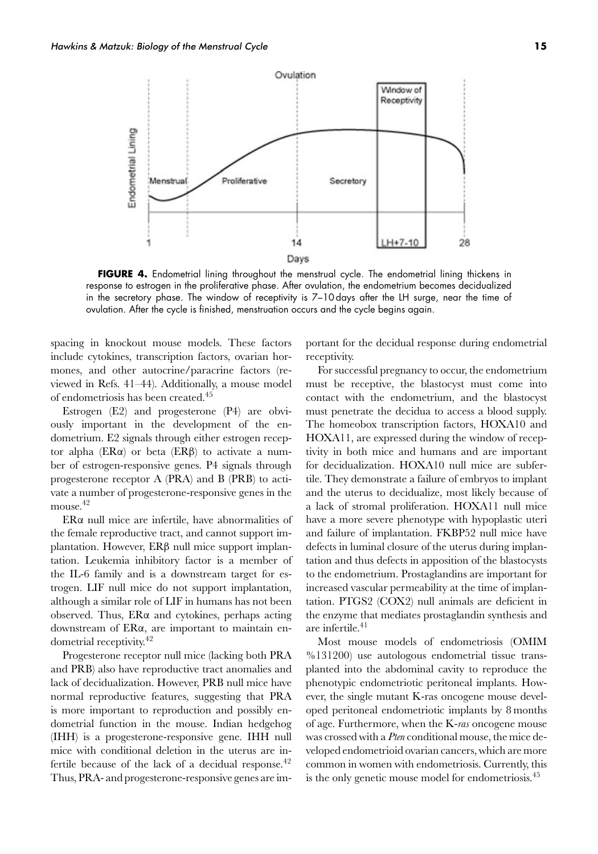Endometrial Lining

1



 $14$ Days

**FIGURE 4.** Endometrial lining throughout the menstrual cycle. The endometrial lining thickens in response to estrogen in the proliferative phase. After ovulation, the endometrium becomes decidualized in the secretory phase. The window of receptivity is 7-10 days after the LH surge, near the time of ovulation. After the cycle is finished, menstruation occurs and the cycle begins again.

spacing in knockout mouse models. These factors include cytokines, transcription factors, ovarian hormones, and other autocrine/paracrine factors (reviewed in Refs. 41–44). Additionally, a mouse model of endometriosis has been created.<sup>45</sup>

Estrogen (E2) and progesterone (P4) are obviously important in the development of the endometrium. E2 signals through either estrogen receptor alpha (ERα) or beta (ERβ) to activate a number of estrogen-responsive genes. P4 signals through progesterone receptor A (PRA) and B (PRB) to activate a number of progesterone-responsive genes in the mouse.<sup>42</sup>

ERα null mice are infertile, have abnormalities of the female reproductive tract, and cannot support implantation. However, ERβ null mice support implantation. Leukemia inhibitory factor is a member of the IL-6 family and is a downstream target for estrogen. LIF null mice do not support implantation, although a similar role of LIF in humans has not been observed. Thus, ERα and cytokines, perhaps acting downstream of ERα, are important to maintain endometrial receptivity.42

Progesterone receptor null mice (lacking both PRA and PRB) also have reproductive tract anomalies and lack of decidualization. However, PRB null mice have normal reproductive features, suggesting that PRA is more important to reproduction and possibly endometrial function in the mouse. Indian hedgehog (IHH) is a progesterone-responsive gene. IHH null mice with conditional deletion in the uterus are infertile because of the lack of a decidual response.<sup>42</sup> Thus, PRA- and progesterone-responsive genes are important for the decidual response during endometrial receptivity.

28

 $H + 7 - 10$ 

For successful pregnancy to occur, the endometrium must be receptive, the blastocyst must come into contact with the endometrium, and the blastocyst must penetrate the decidua to access a blood supply. The homeobox transcription factors, HOXA10 and HOXA11, are expressed during the window of receptivity in both mice and humans and are important for decidualization. HOXA10 null mice are subfertile. They demonstrate a failure of embryos to implant and the uterus to decidualize, most likely because of a lack of stromal proliferation. HOXA11 null mice have a more severe phenotype with hypoplastic uteri and failure of implantation. FKBP52 null mice have defects in luminal closure of the uterus during implantation and thus defects in apposition of the blastocysts to the endometrium. Prostaglandins are important for increased vascular permeability at the time of implantation. PTGS2 (COX2) null animals are deficient in the enzyme that mediates prostaglandin synthesis and are infertile.<sup>41</sup>

Most mouse models of endometriosis (OMIM %131200) use autologous endometrial tissue transplanted into the abdominal cavity to reproduce the phenotypic endometriotic peritoneal implants. However, the single mutant K-ras oncogene mouse developed peritoneal endometriotic implants by 8 months of age. Furthermore, when the K-*ras* oncogene mouse was crossed with a *Pten* conditional mouse, the mice developed endometrioid ovarian cancers, which are more common in women with endometriosis. Currently, this is the only genetic mouse model for endometriosis.<sup>45</sup>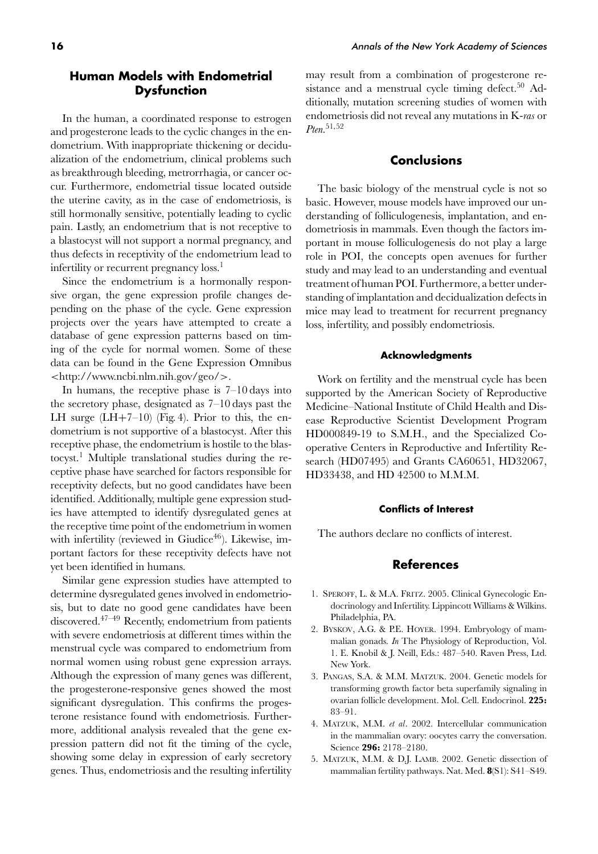# **Human Models with Endometrial Dysfunction**

In the human, a coordinated response to estrogen and progesterone leads to the cyclic changes in the endometrium. With inappropriate thickening or decidualization of the endometrium, clinical problems such as breakthrough bleeding, metrorrhagia, or cancer occur. Furthermore, endometrial tissue located outside the uterine cavity, as in the case of endometriosis, is still hormonally sensitive, potentially leading to cyclic pain. Lastly, an endometrium that is not receptive to a blastocyst will not support a normal pregnancy, and thus defects in receptivity of the endometrium lead to infertility or recurrent pregnancy loss.<sup>1</sup>

Since the endometrium is a hormonally responsive organ, the gene expression profile changes depending on the phase of the cycle. Gene expression projects over the years have attempted to create a database of gene expression patterns based on timing of the cycle for normal women. Some of these data can be found in the Gene Expression Omnibus *<*http://www.ncbi.nlm.nih.gov/geo/*>*.

In humans, the receptive phase is 7–10 days into the secretory phase, designated as 7–10 days past the LH surge  $(LH+7-10)$  (Fig. 4). Prior to this, the endometrium is not supportive of a blastocyst. After this receptive phase, the endometrium is hostile to the blastocyst.<sup>1</sup> Multiple translational studies during the receptive phase have searched for factors responsible for receptivity defects, but no good candidates have been identified. Additionally, multiple gene expression studies have attempted to identify dysregulated genes at the receptive time point of the endometrium in women with infertility (reviewed in Giudice $46$ ). Likewise, important factors for these receptivity defects have not yet been identified in humans.

Similar gene expression studies have attempted to determine dysregulated genes involved in endometriosis, but to date no good gene candidates have been discovered.47–49 Recently, endometrium from patients with severe endometriosis at different times within the menstrual cycle was compared to endometrium from normal women using robust gene expression arrays. Although the expression of many genes was different, the progesterone-responsive genes showed the most significant dysregulation. This confirms the progesterone resistance found with endometriosis. Furthermore, additional analysis revealed that the gene expression pattern did not fit the timing of the cycle, showing some delay in expression of early secretory genes. Thus, endometriosis and the resulting infertility may result from a combination of progesterone resistance and a menstrual cycle timing defect.<sup>50</sup> Additionally, mutation screening studies of women with endometriosis did not reveal any mutations in K-*ras* or *Pten*. 51*,*52

## **Conclusions**

The basic biology of the menstrual cycle is not so basic. However, mouse models have improved our understanding of folliculogenesis, implantation, and endometriosis in mammals. Even though the factors important in mouse folliculogenesis do not play a large role in POI, the concepts open avenues for further study and may lead to an understanding and eventual treatment of human POI. Furthermore, a better understanding of implantation and decidualization defects in mice may lead to treatment for recurrent pregnancy loss, infertility, and possibly endometriosis.

#### **Acknowledgments**

Work on fertility and the menstrual cycle has been supported by the American Society of Reproductive Medicine–National Institute of Child Health and Disease Reproductive Scientist Development Program HD000849-19 to S.M.H., and the Specialized Cooperative Centers in Reproductive and Infertility Research (HD07495) and Grants CA60651, HD32067, HD33438, and HD 42500 to M.M.M.

#### **Conflicts of Interest**

The authors declare no conflicts of interest.

## **References**

- 1. SPEROFF, L. & M.A. FRITZ. 2005. Clinical Gynecologic Endocrinology and Infertility. Lippincott Williams & Wilkins. Philadelphia, PA.
- 2. BYSKOV, A.G. & P.E. HOYER. 1994. Embryology of mammalian gonads. *In* The Physiology of Reproduction, Vol. 1. E. Knobil & J. Neill, Eds.: 487–540. Raven Press, Ltd. New York.
- 3. PANGAS, S.A. & M.M. MATZUK. 2004. Genetic models for transforming growth factor beta superfamily signaling in ovarian follicle development. Mol. Cell. Endocrinol. **225:** 83–91.
- 4. MATZUK, M.M. *et al*. 2002. Intercellular communication in the mammalian ovary: oocytes carry the conversation. Science **296:** 2178–2180.
- 5. MATZUK, M.M. & D.J. LAMB. 2002. Genetic dissection of mammalian fertility pathways. Nat. Med. **8**(S1): S41–S49.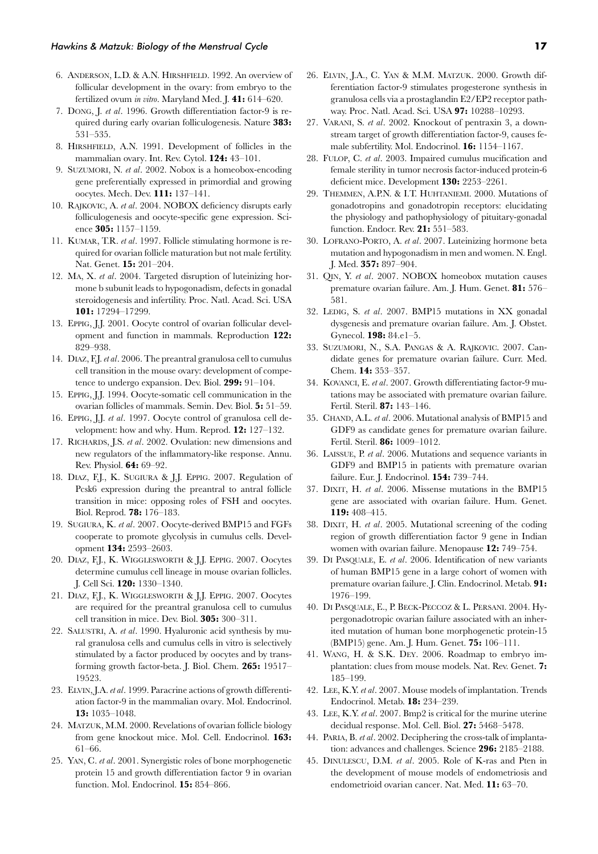- 6. ANDERSON, L.D. & A.N. HIRSHFIELD. 1992. An overview of follicular development in the ovary: from embryo to the fertilized ovum *in vitro*. Maryland Med. J. **41:** 614–620.
- 7. DONG, J. *et al*. 1996. Growth differentiation factor-9 is required during early ovarian folliculogenesis. Nature **383:** 531–535.
- 8. HIRSHFIELD, A.N. 1991. Development of follicles in the mammalian ovary. Int. Rev. Cytol. **124:** 43–101.
- 9. SUZUMORI, N. *et al*. 2002. Nobox is a homeobox-encoding gene preferentially expressed in primordial and growing oocytes. Mech. Dev. **111:** 137–141.
- 10. RAJKOVIC, A. *et al*. 2004. NOBOX deficiency disrupts early folliculogenesis and oocyte-specific gene expression. Science **305:** 1157–1159.
- 11. KUMAR, T.R. *et al*. 1997. Follicle stimulating hormone is required for ovarian follicle maturation but not male fertility. Nat. Genet. **15:** 201–204.
- 12. MA, X. *et al*. 2004. Targeted disruption of luteinizing hormone b subunit leads to hypogonadism, defects in gonadal steroidogenesis and infertility. Proc. Natl. Acad. Sci. USA **101:** 17294–17299.
- 13. EPPIG, J.J. 2001. Oocyte control of ovarian follicular development and function in mammals. Reproduction **122:** 829–938.
- 14. DIAZ, F.J. *et al*. 2006. The preantral granulosa cell to cumulus cell transition in the mouse ovary: development of competence to undergo expansion. Dev. Biol. **299:** 91–104.
- 15. EPPIG, J.J. 1994. Oocyte-somatic cell communication in the ovarian follicles of mammals. Semin. Dev. Biol. **5:** 51–59.
- 16. EPPIG, J.J. *et al*. 1997. Oocyte control of granulosa cell development: how and why. Hum. Reprod. **12:** 127–132.
- 17. RICHARDS, J.S. *et al*. 2002. Ovulation: new dimensions and new regulators of the inflammatory-like response. Annu. Rev. Physiol. **64:** 69–92.
- 18. DIAZ, F.J., K. SUGIURA & J.J. EPPIG. 2007. Regulation of Pcsk6 expression during the preantral to antral follicle transition in mice: opposing roles of FSH and oocytes. Biol. Reprod. **78:** 176–183.
- 19. SUGIURA, K. *et al*. 2007. Oocyte-derived BMP15 and FGFs cooperate to promote glycolysis in cumulus cells. Development **134:** 2593–2603.
- 20. DIAZ, F.J., K. WIGGLESWORTH & J.J. EPPIG. 2007. Oocytes determine cumulus cell lineage in mouse ovarian follicles. J. Cell Sci. **120:** 1330–1340.
- 21. DIAZ, F.J., K. WIGGLESWORTH & J.J. EPPIG. 2007. Oocytes are required for the preantral granulosa cell to cumulus cell transition in mice. Dev. Biol. **305:** 300–311.
- 22. SALUSTRI, A. *et al*. 1990. Hyaluronic acid synthesis by mural granulosa cells and cumulus cells in vitro is selectively stimulated by a factor produced by oocytes and by transforming growth factor-beta. J. Biol. Chem. **265:** 19517– 19523.
- 23. ELVIN, J.A. *et al*. 1999. Paracrine actions of growth differentiation factor-9 in the mammalian ovary. Mol. Endocrinol. **13:** 1035–1048.
- 24. MATZUK, M.M. 2000. Revelations of ovarian follicle biology from gene knockout mice. Mol. Cell. Endocrinol. **163:** 61–66.
- 25. YAN, C. *et al*. 2001. Synergistic roles of bone morphogenetic protein 15 and growth differentiation factor 9 in ovarian function. Mol. Endocrinol. **15:** 854–866.
- 26. ELVIN, J.A., C. YAN & M.M. MATZUK. 2000. Growth differentiation factor-9 stimulates progesterone synthesis in granulosa cells via a prostaglandin E2/EP2 receptor pathway. Proc. Natl. Acad. Sci. USA **97:** 10288–10293.
- 27. VARANI, S. *et al*. 2002. Knockout of pentraxin 3, a downstream target of growth differentiation factor-9, causes female subfertility. Mol. Endocrinol. **16:** 1154–1167.
- 28. FULOP, C. *et al*. 2003. Impaired cumulus mucification and female sterility in tumor necrosis factor-induced protein-6 deficient mice. Development **130:** 2253–2261.
- 29. THEMMEN, A.P.N. & I.T. HUHTANIEMI. 2000. Mutations of gonadotropins and gonadotropin receptors: elucidating the physiology and pathophysiology of pituitary-gonadal function. Endocr. Rev. **21:** 551–583.
- 30. LOFRANO-PORTO, A. *et al*. 2007. Luteinizing hormone beta mutation and hypogonadism in men and women. N. Engl. J. Med. **357:** 897–904.
- 31. QIN, Y. *et al*. 2007. NOBOX homeobox mutation causes premature ovarian failure. Am. J. Hum. Genet. **81:** 576– 581.
- 32. LEDIG, S. *et al*. 2007. BMP15 mutations in XX gonadal dysgenesis and premature ovarian failure. Am. J. Obstet. Gynecol. **198:** 84.e1–5.
- 33. SUZUMORI, N., S.A. PANGAS & A. RAJKOVIC. 2007. Candidate genes for premature ovarian failure. Curr. Med. Chem. **14:** 353–357.
- 34. KOVANCI, E. *et al*. 2007. Growth differentiating factor-9 mutations may be associated with premature ovarian failure. Fertil. Steril. **87:** 143–146.
- 35. CHAND, A.L. *et al*. 2006. Mutational analysis of BMP15 and GDF9 as candidate genes for premature ovarian failure. Fertil. Steril. **86:** 1009–1012.
- 36. LAISSUE, P. *et al*. 2006. Mutations and sequence variants in GDF9 and BMP15 in patients with premature ovarian failure. Eur. J. Endocrinol. **154:** 739–744.
- 37. DIXIT, H. *et al*. 2006. Missense mutations in the BMP15 gene are associated with ovarian failure. Hum. Genet. **119:** 408–415.
- 38. DIXIT, H. *et al*. 2005. Mutational screening of the coding region of growth differentiation factor 9 gene in Indian women with ovarian failure. Menopause **12:** 749–754.
- 39. DI PASQUALE, E. *et al*. 2006. Identification of new variants of human BMP15 gene in a large cohort of women with premature ovarian failure. J. Clin. Endocrinol. Metab. **91:** 1976–199.
- 40. DI PASQUALE, E., P. BECK-PECCOZ & L. PERSANI. 2004. Hypergonadotropic ovarian failure associated with an inherited mutation of human bone morphogenetic protein-15 (BMP15) gene. Am. J. Hum. Genet. **75:** 106–111.
- 41. WANG, H. & S.K. DEY. 2006. Roadmap to embryo implantation: clues from mouse models. Nat. Rev. Genet. **7:** 185–199.
- 42. LEE, K.Y. *et al*. 2007. Mouse models of implantation. Trends Endocrinol. Metab. **18:** 234–239.
- 43. LEE, K.Y. *et al*. 2007. Bmp2 is critical for the murine uterine decidual response. Mol. Cell. Biol. **27:** 5468–5478.
- 44. PARIA, B. *et al*. 2002. Deciphering the cross-talk of implantation: advances and challenges. Science **296:** 2185–2188.
- 45. DINULESCU, D.M. *et al*. 2005. Role of K-ras and Pten in the development of mouse models of endometriosis and endometrioid ovarian cancer. Nat. Med. **11:** 63–70.